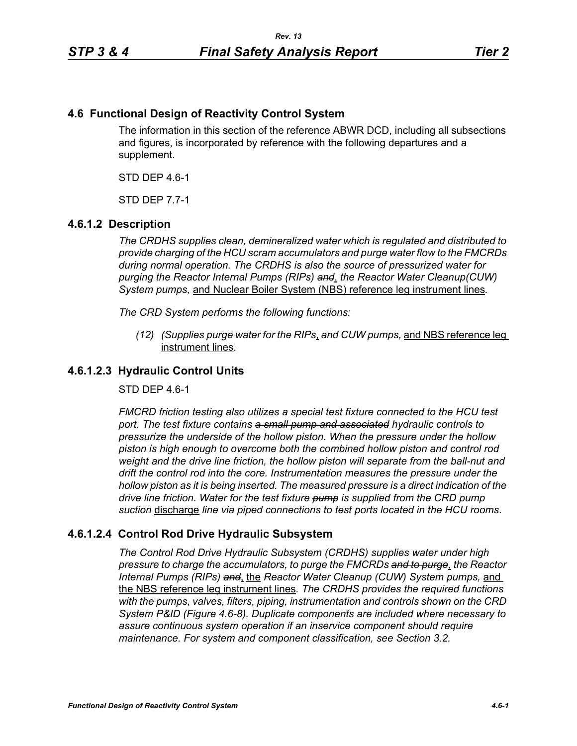## **4.6 Functional Design of Reactivity Control System**

The information in this section of the reference ABWR DCD, including all subsections and figures, is incorporated by reference with the following departures and a supplement.

STD DEP 4.6-1

STD DEP 7.7-1

### **4.6.1.2 Description**

*The CRDHS supplies clean, demineralized water which is regulated and distributed to provide charging of the HCU scram accumulators and purge water flow to the FMCRDs during normal operation. The CRDHS is also the source of pressurized water for purging the Reactor Internal Pumps (RIPs) and*, *the Reactor Water Cleanup(CUW) System pumps,* and Nuclear Boiler System (NBS) reference leg instrument lines*.*

*The CRD System performs the following functions:*

*(12) (Supplies purge water for the RIPs*, *and CUW pumps,* and NBS reference leg instrument lines*.*

## **4.6.1.2.3 Hydraulic Control Units**

STD DEP 4.6-1

*FMCRD friction testing also utilizes a special test fixture connected to the HCU test port. The test fixture contains a small pump and associated hydraulic controls to pressurize the underside of the hollow piston. When the pressure under the hollow piston is high enough to overcome both the combined hollow piston and control rod weight and the drive line friction, the hollow piston will separate from the ball-nut and drift the control rod into the core. Instrumentation measures the pressure under the hollow piston as it is being inserted. The measured pressure is a direct indication of the drive line friction. Water for the test fixture pump is supplied from the CRD pump suction* discharge *line via piped connections to test ports located in the HCU rooms*.

# **4.6.1.2.4 Control Rod Drive Hydraulic Subsystem**

*The Control Rod Drive Hydraulic Subsystem (CRDHS) supplies water under high pressure to charge the accumulators, to purge the FMCRDs and to purge*, *the Reactor Internal Pumps (RIPs) and*, the *Reactor Water Cleanup (CUW) System pumps,* and the NBS reference leg instrument lines*. The CRDHS provides the required functions with the pumps, valves, filters, piping, instrumentation and controls shown on the CRD System P&ID (Figure 4.6-8). Duplicate components are included where necessary to assure continuous system operation if an inservice component should require maintenance. For system and component classification, see Section 3.2.*